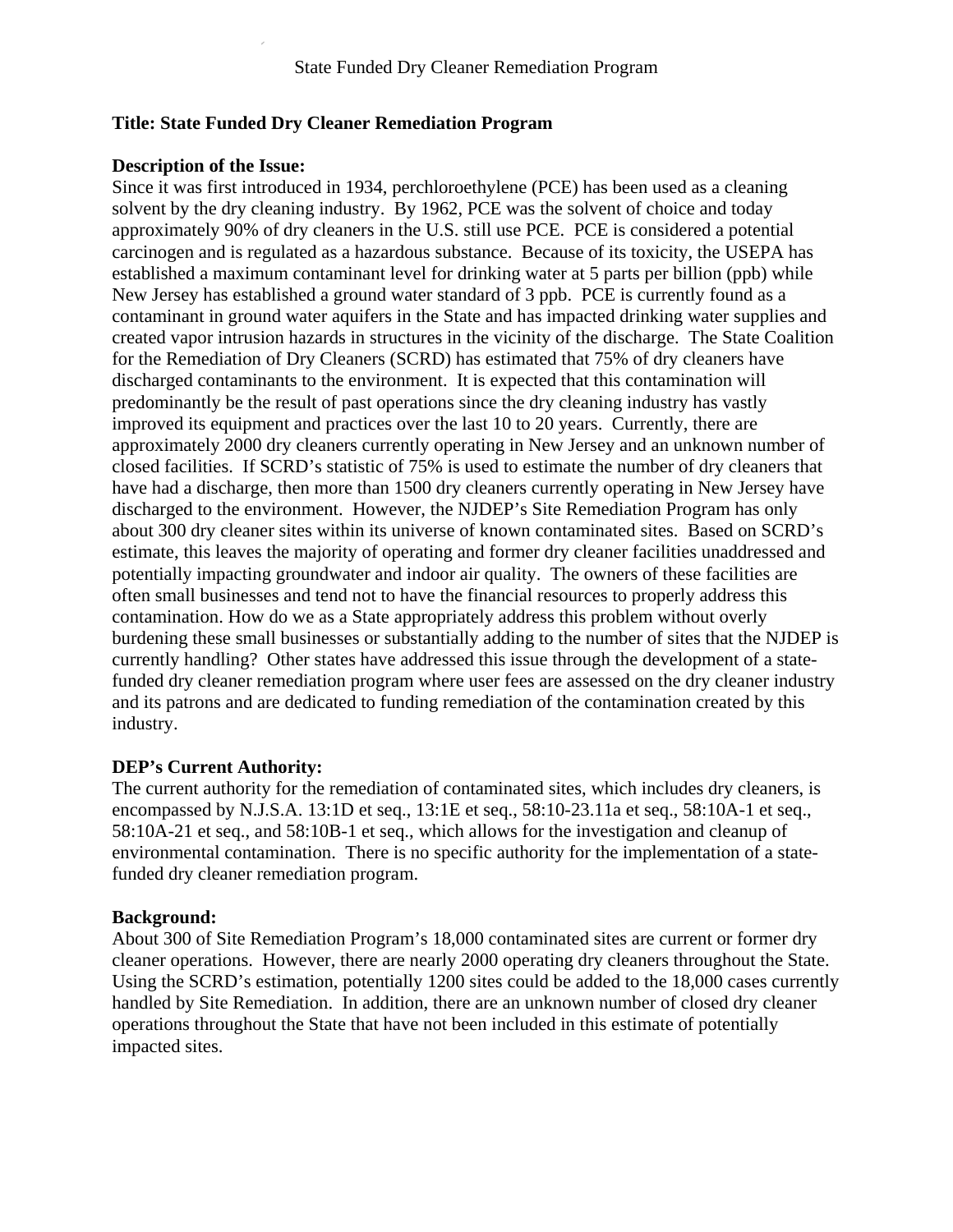# **Title: State Funded Dry Cleaner Remediation Program**

### **Description of the Issue:**

Since it was first introduced in 1934, perchloroethylene (PCE) has been used as a cleaning solvent by the dry cleaning industry. By 1962, PCE was the solvent of choice and today approximately 90% of dry cleaners in the U.S. still use PCE. PCE is considered a potential carcinogen and is regulated as a hazardous substance. Because of its toxicity, the USEPA has established a maximum contaminant level for drinking water at 5 parts per billion (ppb) while New Jersey has established a ground water standard of 3 ppb. PCE is currently found as a contaminant in ground water aquifers in the State and has impacted drinking water supplies and created vapor intrusion hazards in structures in the vicinity of the discharge. The State Coalition for the Remediation of Dry Cleaners (SCRD) has estimated that 75% of dry cleaners have discharged contaminants to the environment. It is expected that this contamination will predominantly be the result of past operations since the dry cleaning industry has vastly improved its equipment and practices over the last 10 to 20 years. Currently, there are approximately 2000 dry cleaners currently operating in New Jersey and an unknown number of closed facilities. If SCRD's statistic of 75% is used to estimate the number of dry cleaners that have had a discharge, then more than 1500 dry cleaners currently operating in New Jersey have discharged to the environment. However, the NJDEP's Site Remediation Program has only about 300 dry cleaner sites within its universe of known contaminated sites. Based on SCRD's estimate, this leaves the majority of operating and former dry cleaner facilities unaddressed and potentially impacting groundwater and indoor air quality. The owners of these facilities are often small businesses and tend not to have the financial resources to properly address this contamination. How do we as a State appropriately address this problem without overly burdening these small businesses or substantially adding to the number of sites that the NJDEP is currently handling? Other states have addressed this issue through the development of a statefunded dry cleaner remediation program where user fees are assessed on the dry cleaner industry and its patrons and are dedicated to funding remediation of the contamination created by this industry.

# **DEP's Current Authority:**

The current authority for the remediation of contaminated sites, which includes dry cleaners, is encompassed by N.J.S.A. 13:1D et seq., 13:1E et seq., 58:10-23.11a et seq., 58:10A-1 et seq., 58:10A-21 et seq., and 58:10B-1 et seq., which allows for the investigation and cleanup of environmental contamination. There is no specific authority for the implementation of a statefunded dry cleaner remediation program.

#### **Background:**

About 300 of Site Remediation Program's 18,000 contaminated sites are current or former dry cleaner operations. However, there are nearly 2000 operating dry cleaners throughout the State. Using the SCRD's estimation, potentially 1200 sites could be added to the 18,000 cases currently handled by Site Remediation. In addition, there are an unknown number of closed dry cleaner operations throughout the State that have not been included in this estimate of potentially impacted sites.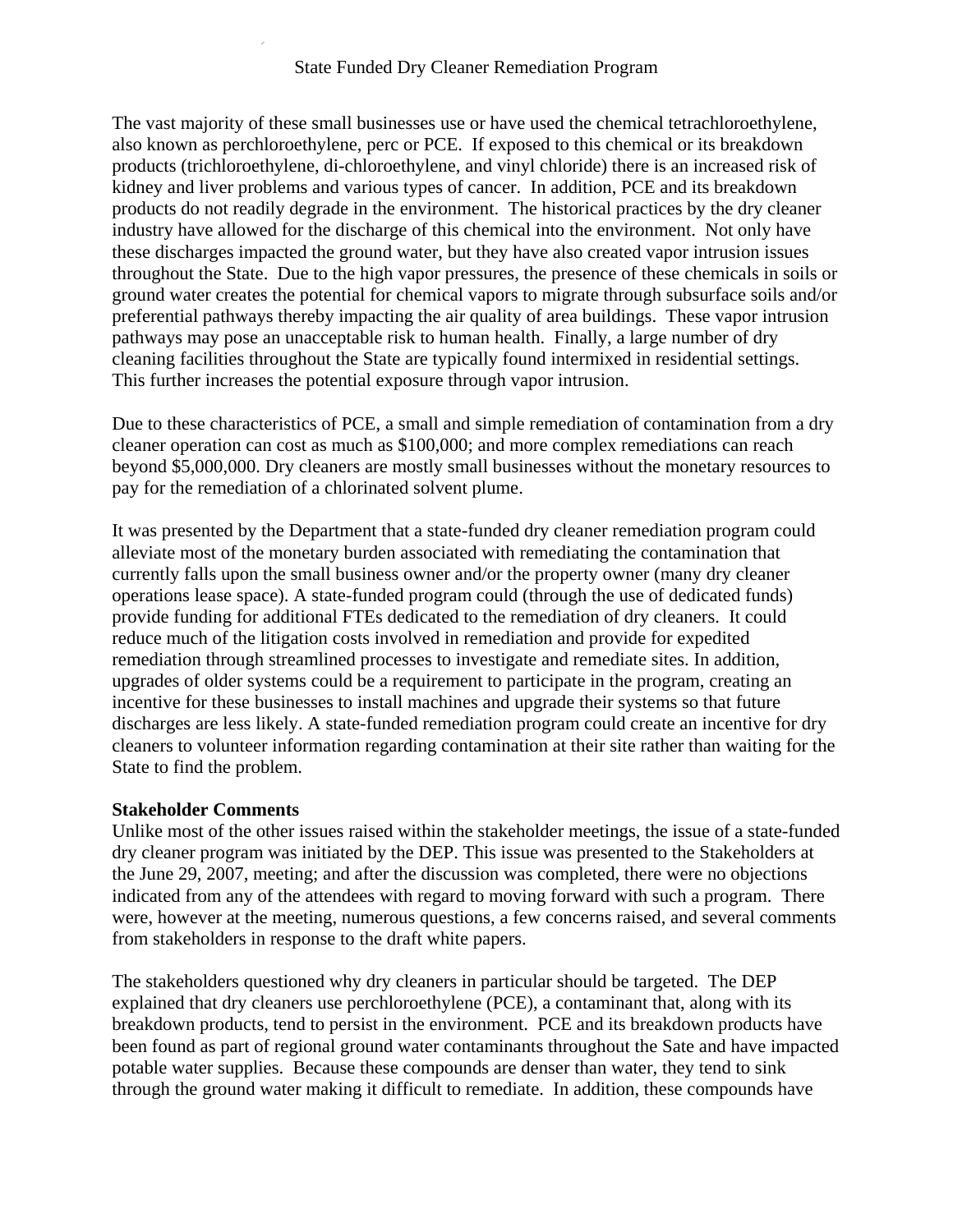# State Funded Dry Cleaner Remediation Program

The vast majority of these small businesses use or have used the chemical tetrachloroethylene, also known as perchloroethylene, perc or PCE. If exposed to this chemical or its breakdown products (trichloroethylene, di-chloroethylene, and vinyl chloride) there is an increased risk of kidney and liver problems and various types of cancer. In addition, PCE and its breakdown products do not readily degrade in the environment. The historical practices by the dry cleaner industry have allowed for the discharge of this chemical into the environment. Not only have these discharges impacted the ground water, but they have also created vapor intrusion issues throughout the State. Due to the high vapor pressures, the presence of these chemicals in soils or ground water creates the potential for chemical vapors to migrate through subsurface soils and/or preferential pathways thereby impacting the air quality of area buildings. These vapor intrusion pathways may pose an unacceptable risk to human health. Finally, a large number of dry cleaning facilities throughout the State are typically found intermixed in residential settings. This further increases the potential exposure through vapor intrusion.

Due to these characteristics of PCE, a small and simple remediation of contamination from a dry cleaner operation can cost as much as \$100,000; and more complex remediations can reach beyond \$5,000,000. Dry cleaners are mostly small businesses without the monetary resources to pay for the remediation of a chlorinated solvent plume.

It was presented by the Department that a state-funded dry cleaner remediation program could alleviate most of the monetary burden associated with remediating the contamination that currently falls upon the small business owner and/or the property owner (many dry cleaner operations lease space). A state-funded program could (through the use of dedicated funds) provide funding for additional FTEs dedicated to the remediation of dry cleaners. It could reduce much of the litigation costs involved in remediation and provide for expedited remediation through streamlined processes to investigate and remediate sites. In addition, upgrades of older systems could be a requirement to participate in the program, creating an incentive for these businesses to install machines and upgrade their systems so that future discharges are less likely. A state-funded remediation program could create an incentive for dry cleaners to volunteer information regarding contamination at their site rather than waiting for the State to find the problem.

#### **Stakeholder Comments**

Unlike most of the other issues raised within the stakeholder meetings, the issue of a state-funded dry cleaner program was initiated by the DEP. This issue was presented to the Stakeholders at the June 29, 2007, meeting; and after the discussion was completed, there were no objections indicated from any of the attendees with regard to moving forward with such a program. There were, however at the meeting, numerous questions, a few concerns raised, and several comments from stakeholders in response to the draft white papers.

The stakeholders questioned why dry cleaners in particular should be targeted. The DEP explained that dry cleaners use perchloroethylene (PCE), a contaminant that, along with its breakdown products, tend to persist in the environment. PCE and its breakdown products have been found as part of regional ground water contaminants throughout the Sate and have impacted potable water supplies. Because these compounds are denser than water, they tend to sink through the ground water making it difficult to remediate. In addition, these compounds have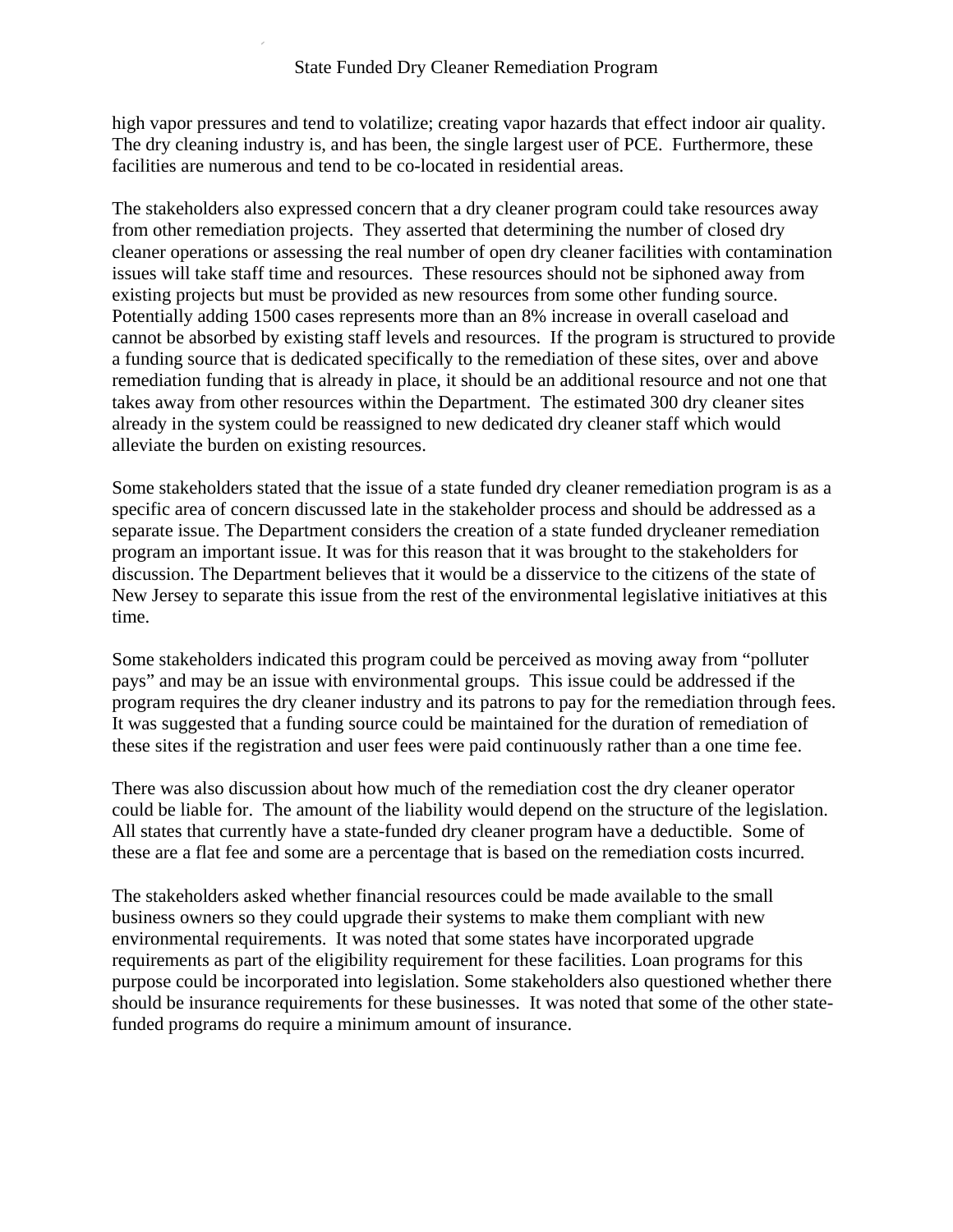high vapor pressures and tend to volatilize; creating vapor hazards that effect indoor air quality. The dry cleaning industry is, and has been, the single largest user of PCE. Furthermore, these facilities are numerous and tend to be co-located in residential areas.

The stakeholders also expressed concern that a dry cleaner program could take resources away from other remediation projects. They asserted that determining the number of closed dry cleaner operations or assessing the real number of open dry cleaner facilities with contamination issues will take staff time and resources. These resources should not be siphoned away from existing projects but must be provided as new resources from some other funding source. Potentially adding 1500 cases represents more than an 8% increase in overall caseload and cannot be absorbed by existing staff levels and resources. If the program is structured to provide a funding source that is dedicated specifically to the remediation of these sites, over and above remediation funding that is already in place, it should be an additional resource and not one that takes away from other resources within the Department. The estimated 300 dry cleaner sites already in the system could be reassigned to new dedicated dry cleaner staff which would alleviate the burden on existing resources.

Some stakeholders stated that the issue of a state funded dry cleaner remediation program is as a specific area of concern discussed late in the stakeholder process and should be addressed as a separate issue. The Department considers the creation of a state funded drycleaner remediation program an important issue. It was for this reason that it was brought to the stakeholders for discussion. The Department believes that it would be a disservice to the citizens of the state of New Jersey to separate this issue from the rest of the environmental legislative initiatives at this time.

Some stakeholders indicated this program could be perceived as moving away from "polluter pays" and may be an issue with environmental groups. This issue could be addressed if the program requires the dry cleaner industry and its patrons to pay for the remediation through fees. It was suggested that a funding source could be maintained for the duration of remediation of these sites if the registration and user fees were paid continuously rather than a one time fee.

There was also discussion about how much of the remediation cost the dry cleaner operator could be liable for. The amount of the liability would depend on the structure of the legislation. All states that currently have a state-funded dry cleaner program have a deductible. Some of these are a flat fee and some are a percentage that is based on the remediation costs incurred.

The stakeholders asked whether financial resources could be made available to the small business owners so they could upgrade their systems to make them compliant with new environmental requirements. It was noted that some states have incorporated upgrade requirements as part of the eligibility requirement for these facilities. Loan programs for this purpose could be incorporated into legislation. Some stakeholders also questioned whether there should be insurance requirements for these businesses. It was noted that some of the other statefunded programs do require a minimum amount of insurance.